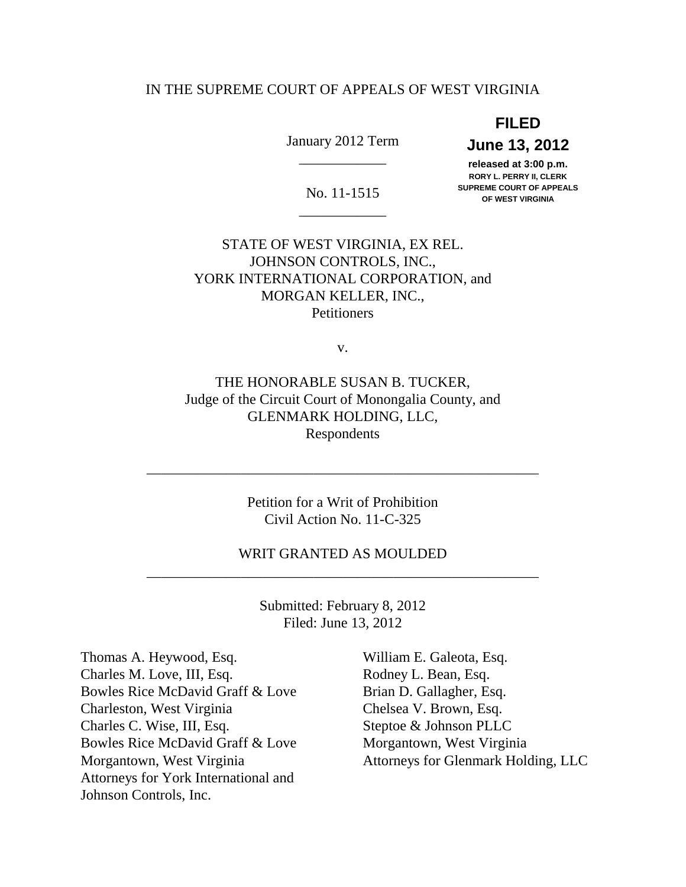# IN THE SUPREME COURT OF APPEALS OF WEST VIRGINIA

**FILED** 

\_\_\_\_\_\_\_\_\_\_\_\_

\_\_\_\_\_\_\_\_\_\_\_\_

 January 2012 Term **June 13, 2012**  June 13, 2012

 **released at 3:00 p.m. RORY L. PERRY II, CLERK SUPREME COURT OF APPEALS SUPREME COURT OF APPEALS** No. 11-1515 **OF WEST VIRGINIA** 

 STATE OF WEST VIRGINIA, EX REL. MORGAN KELLER, INC., JOHNSON CONTROLS, INC., YORK INTERNATIONAL CORPORATION, and **Petitioners** 

v.

 THE HONORABLE SUSAN B. TUCKER, Judge of the Circuit Court of Monongalia County, and GLENMARK HOLDING, LLC, Respondents

> Petition for a Writ of Prohibition Civil Action No. 11-C-325

\_\_\_\_\_\_\_\_\_\_\_\_\_\_\_\_\_\_\_\_\_\_\_\_\_\_\_\_\_\_\_\_\_\_\_\_\_\_\_\_\_\_\_\_\_\_\_\_\_\_\_\_\_\_

 WRIT GRANTED AS MOULDED \_\_\_\_\_\_\_\_\_\_\_\_\_\_\_\_\_\_\_\_\_\_\_\_\_\_\_\_\_\_\_\_\_\_\_\_\_\_\_\_\_\_\_\_\_\_\_\_\_\_\_\_\_\_

> Submitted: February 8, 2012 Filed: June 13, 2012

 Thomas A. Heywood, Esq. William E. Galeota, Esq. Charles M. Love, III, Esq. Rodney L. Bean, Esq. Bowles Rice McDavid Graff & Love Brian D. Gallagher, Esq. Charleston, West Virginia Chelsea V. Brown, Esq. Charles C. Wise, III, Esq. Steptoe & Johnson PLLC Bowles Rice McDavid Graff & Love Morgantown, West Virginia Morgantown, West Virginia Attorneys for York International and Johnson Controls, Inc.

Attorneys for Glenmark Holding, LLC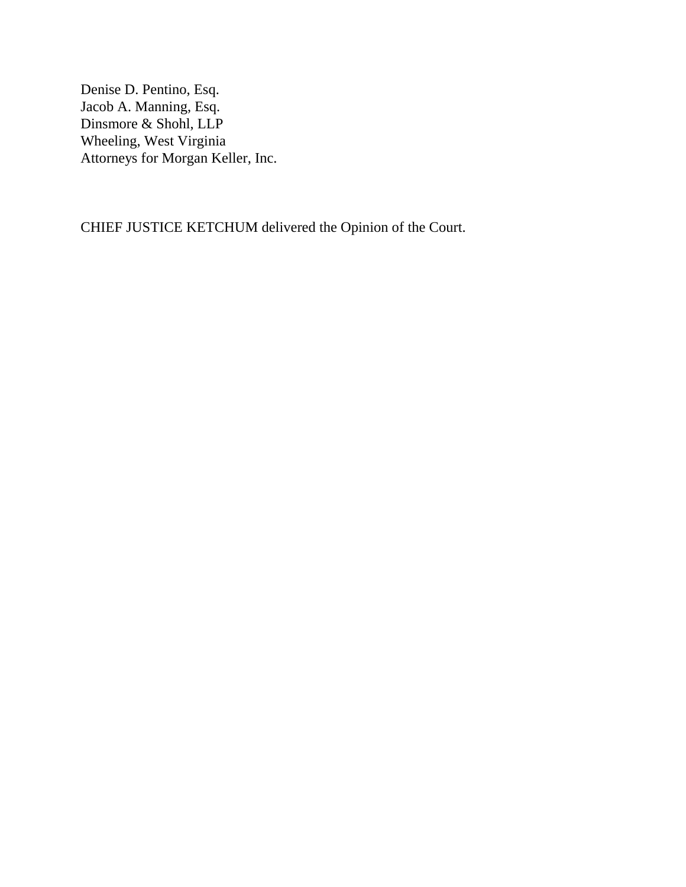Denise D. Pentino, Esq. Jacob A. Manning, Esq. Dinsmore & Shohl, LLP Wheeling, West Virginia Attorneys for Morgan Keller, Inc.

CHIEF JUSTICE KETCHUM delivered the Opinion of the Court.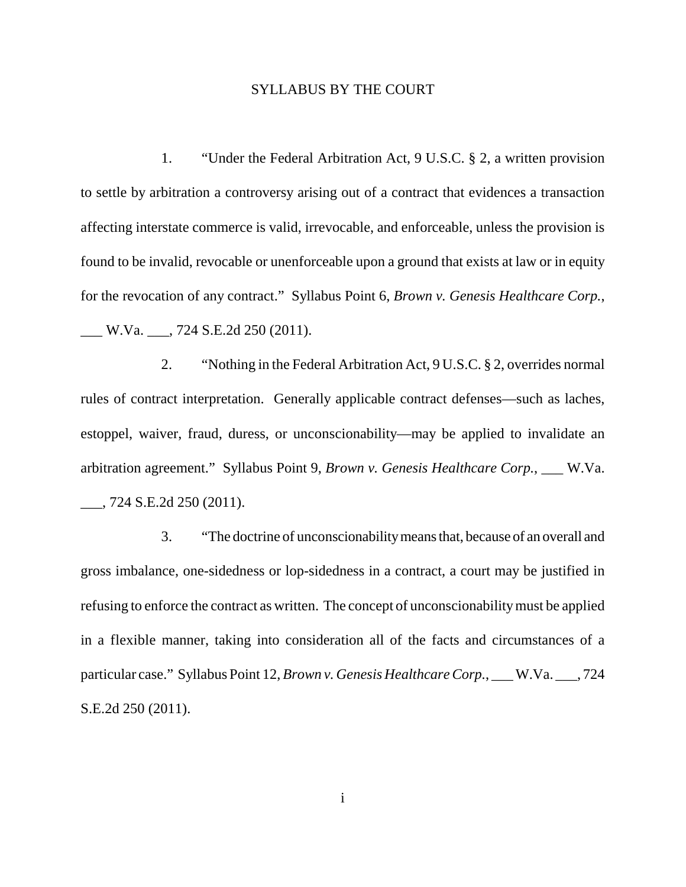# SYLLABUS BY THE COURT

 1. "Under the Federal Arbitration Act, 9 U.S.C. § 2, a written provision to settle by arbitration a controversy arising out of a contract that evidences a transaction affecting interstate commerce is valid, irrevocable, and enforceable, unless the provision is found to be invalid, revocable or unenforceable upon a ground that exists at law or in equity for the revocation of any contract." Syllabus Point 6, *Brown v. Genesis Healthcare Corp.*,

\_\_\_ W.Va. \_\_\_, 724 S.E.2d 250 (2011).

 2. "Nothing in the Federal Arbitration Act, 9 U.S.C. § 2, overrides normal rules of contract interpretation. Generally applicable contract defenses—such as laches, estoppel, waiver, fraud, duress, or unconscionability—may be applied to invalidate an arbitration agreement." Syllabus Point 9, *Brown v. Genesis Healthcare Corp.*, \_\_\_ W.Va. \_\_\_, 724 S.E.2d 250 (2011).

 3. "The doctrine of unconscionabilitymeans that, because of an overall and gross imbalance, one-sidedness or lop-sidedness in a contract, a court may be justified in refusing to enforce the contract as written. The concept of unconscionability must be applied in a flexible manner, taking into consideration all of the facts and circumstances of a particular case." Syllabus Point 12, *Brown v. Genesis Healthcare Corp.*, \_\_\_ W.Va. \_\_\_, 724 S.E.2d 250 (2011).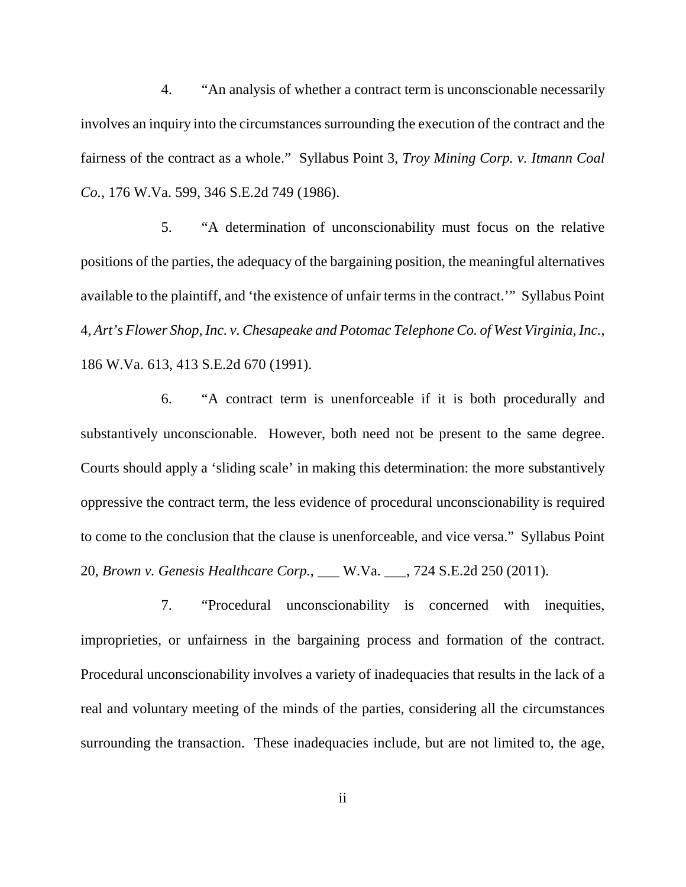4. "An analysis of whether a contract term is unconscionable necessarily involves an inquiry into the circumstances surrounding the execution of the contract and the fairness of the contract as a whole." Syllabus Point 3, *Troy Mining Corp. v. Itmann Coal Co.*, 176 W.Va. 599, 346 S.E.2d 749 (1986).

 5. "A determination of unconscionability must focus on the relative positions of the parties, the adequacy of the bargaining position, the meaningful alternatives available to the plaintiff, and 'the existence of unfair terms in the contract.'" Syllabus Point  4, *Art's Flower Shop, Inc. v. Chesapeake and Potomac Telephone Co. of West Virginia, Inc.*, 186 W.Va. 613, 413 S.E.2d 670 (1991).

 6. "A contract term is unenforceable if it is both procedurally and substantively unconscionable. However, both need not be present to the same degree. Courts should apply a 'sliding scale' in making this determination: the more substantively oppressive the contract term, the less evidence of procedural unconscionability is required to come to the conclusion that the clause is unenforceable, and vice versa." Syllabus Point  20, *Brown v. Genesis Healthcare Corp.*, \_\_\_ W.Va. \_\_\_, 724 S.E.2d 250 (2011).

 7. "Procedural unconscionability is concerned with inequities, improprieties, or unfairness in the bargaining process and formation of the contract. Procedural unconscionability involves a variety of inadequacies that results in the lack of a real and voluntary meeting of the minds of the parties, considering all the circumstances surrounding the transaction. These inadequacies include, but are not limited to, the age,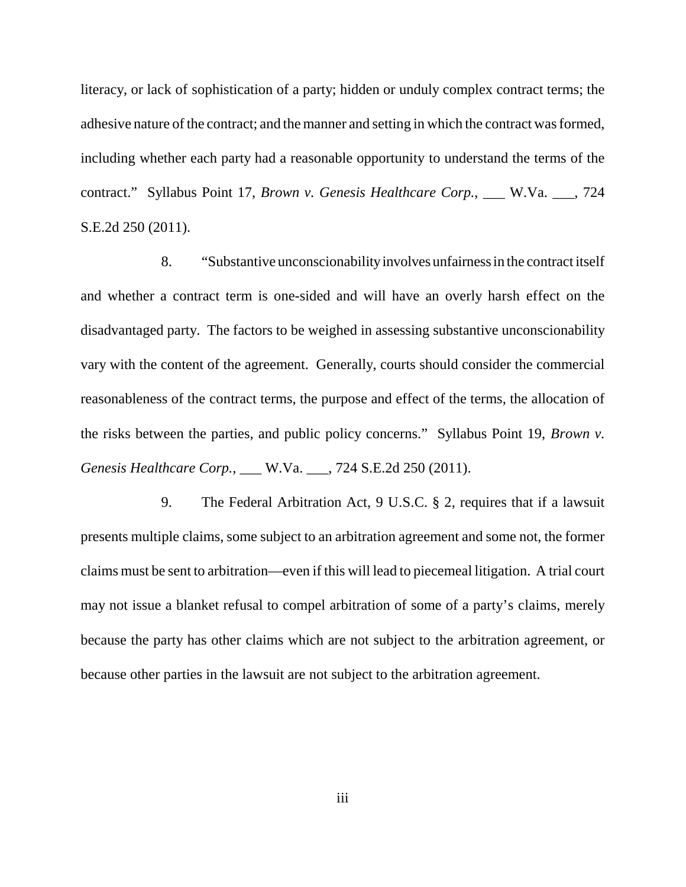literacy, or lack of sophistication of a party; hidden or unduly complex contract terms; the adhesive nature of the contract; and the manner and setting in which the contract was formed, including whether each party had a reasonable opportunity to understand the terms of the contract." Syllabus Point 17, *Brown v. Genesis Healthcare Corp.*, \_\_\_ W.Va. \_\_\_, 724 S.E.2d 250 (2011).

 8. "Substantive unconscionabilityinvolves unfairness in the contract itself and whether a contract term is one-sided and will have an overly harsh effect on the disadvantaged party. The factors to be weighed in assessing substantive unconscionability vary with the content of the agreement. Generally, courts should consider the commercial reasonableness of the contract terms, the purpose and effect of the terms, the allocation of the risks between the parties, and public policy concerns." Syllabus Point 19, *Brown v. Genesis Healthcare Corp.*, \_\_\_ W.Va. \_\_\_, 724 S.E.2d 250 (2011).

 9. The Federal Arbitration Act, 9 U.S.C. § 2, requires that if a lawsuit presents multiple claims, some subject to an arbitration agreement and some not, the former claims must be sent to arbitration—even if this will lead to piecemeal litigation. A trial court may not issue a blanket refusal to compel arbitration of some of a party's claims, merely because the party has other claims which are not subject to the arbitration agreement, or because other parties in the lawsuit are not subject to the arbitration agreement.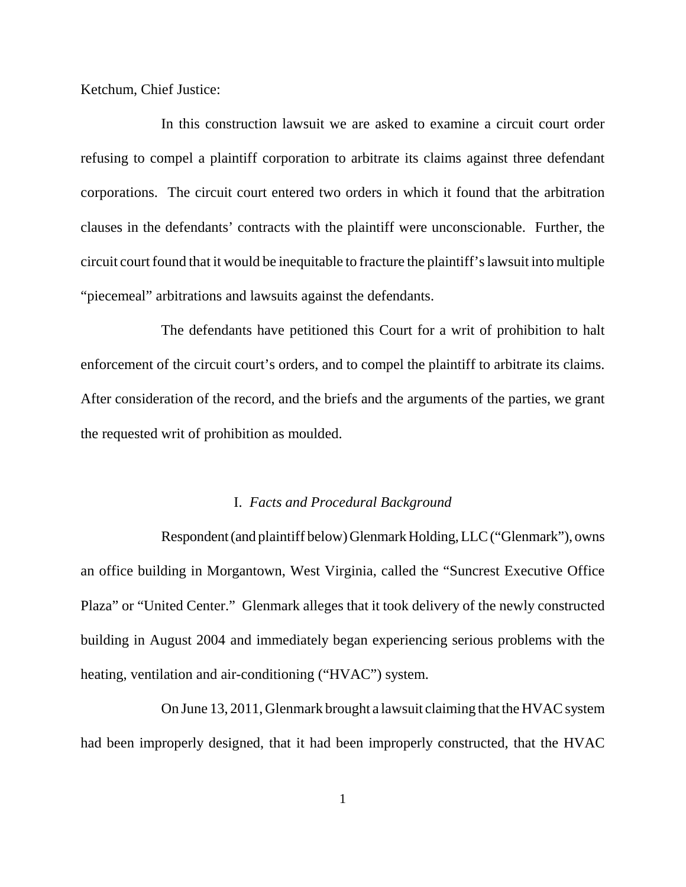Ketchum, Chief Justice:

 In this construction lawsuit we are asked to examine a circuit court order refusing to compel a plaintiff corporation to arbitrate its claims against three defendant corporations. The circuit court entered two orders in which it found that the arbitration clauses in the defendants' contracts with the plaintiff were unconscionable. Further, the circuit court found that it would be inequitable to fracture the plaintiff's lawsuit into multiple "piecemeal" arbitrations and lawsuits against the defendants.

 The defendants have petitioned this Court for a writ of prohibition to halt enforcement of the circuit court's orders, and to compel the plaintiff to arbitrate its claims. After consideration of the record, and the briefs and the arguments of the parties, we grant the requested writ of prohibition as moulded.

# I. *Facts and Procedural Background*

 Respondent (and plaintiff below) Glenmark Holding, LLC ("Glenmark"), owns an office building in Morgantown, West Virginia, called the "Suncrest Executive Office Plaza" or "United Center." Glenmark alleges that it took delivery of the newly constructed building in August 2004 and immediately began experiencing serious problems with the heating, ventilation and air-conditioning ("HVAC") system.

 On June 13, 2011, Glenmark brought a lawsuit claiming that the HVAC system had been improperly designed, that it had been improperly constructed, that the HVAC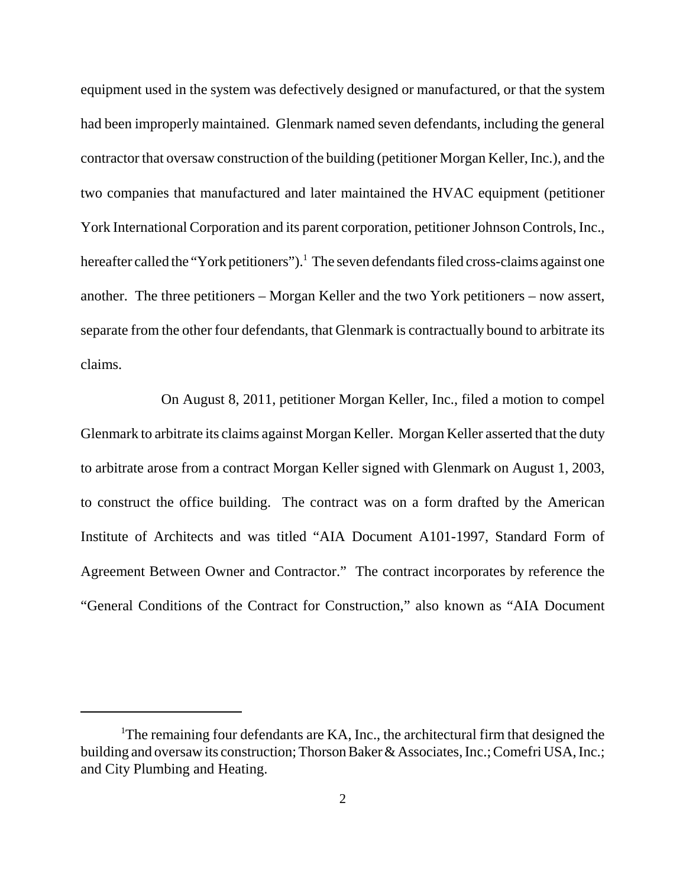equipment used in the system was defectively designed or manufactured, or that the system had been improperly maintained. Glenmark named seven defendants, including the general contractor that oversaw construction of the building (petitioner Morgan Keller, Inc.), and the two companies that manufactured and later maintained the HVAC equipment (petitioner York International Corporation and its parent corporation, petitioner Johnson Controls, Inc., hereafter called the "York petitioners").<sup>1</sup> The seven defendants filed cross-claims against one another. The three petitioners – Morgan Keller and the two York petitioners – now assert, separate from the other four defendants, that Glenmark is contractually bound to arbitrate its claims.

 On August 8, 2011, petitioner Morgan Keller, Inc., filed a motion to compel Glenmark to arbitrate its claims against Morgan Keller. Morgan Keller asserted that the duty to arbitrate arose from a contract Morgan Keller signed with Glenmark on August 1, 2003, to construct the office building. The contract was on a form drafted by the American Institute of Architects and was titled "AIA Document A101-1997, Standard Form of Agreement Between Owner and Contractor." The contract incorporates by reference the "General Conditions of the Contract for Construction," also known as "AIA Document

<sup>&</sup>lt;sup>1</sup>The remaining four defendants are KA, Inc., the architectural firm that designed the building and oversaw its construction; Thorson Baker & Associates, Inc.; Comefri USA, Inc.; and City Plumbing and Heating.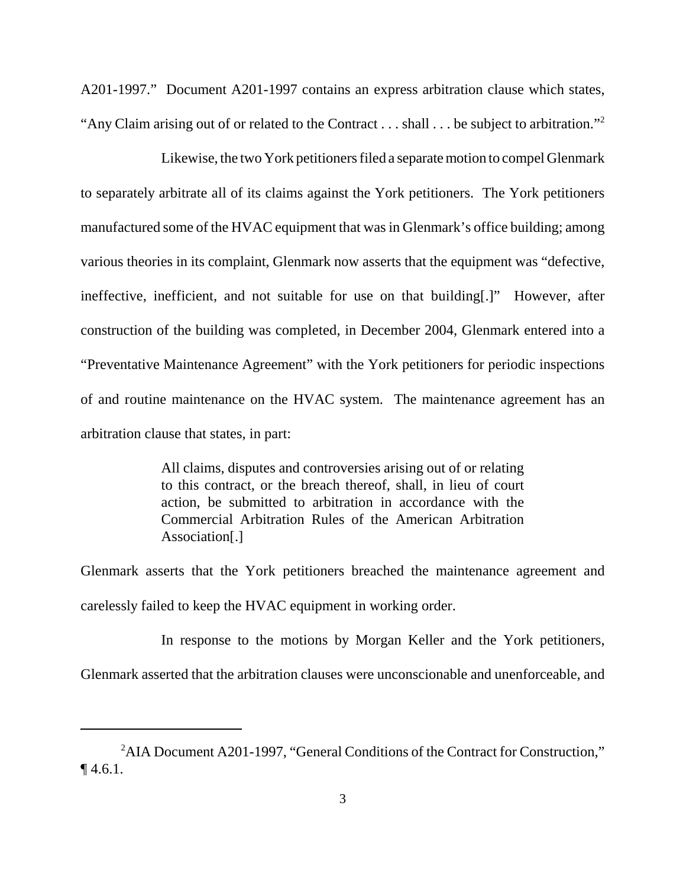A201-1997." Document A201-1997 contains an express arbitration clause which states, "Any Claim arising out of or related to the Contract . . . shall . . . be subject to arbitration."<sup>2</sup>

 Likewise, the two York petitioners filed a separate motion to compel Glenmark to separately arbitrate all of its claims against the York petitioners. The York petitioners manufactured some of the HVAC equipment that was in Glenmark's office building; among various theories in its complaint, Glenmark now asserts that the equipment was "defective, ineffective, inefficient, and not suitable for use on that building[.]" However, after construction of the building was completed, in December 2004, Glenmark entered into a "Preventative Maintenance Agreement" with the York petitioners for periodic inspections of and routine maintenance on the HVAC system. The maintenance agreement has an arbitration clause that states, in part:

> All claims, disputes and controversies arising out of or relating to this contract, or the breach thereof, shall, in lieu of court action, be submitted to arbitration in accordance with the Commercial Arbitration Rules of the American Arbitration Association[.]

 Glenmark asserts that the York petitioners breached the maintenance agreement and carelessly failed to keep the HVAC equipment in working order.

 In response to the motions by Morgan Keller and the York petitioners, Glenmark asserted that the arbitration clauses were unconscionable and unenforceable, and

<sup>&</sup>lt;sup>2</sup>AIA Document A201-1997, "General Conditions of the Contract for Construction,"  $\P$  4.6.1.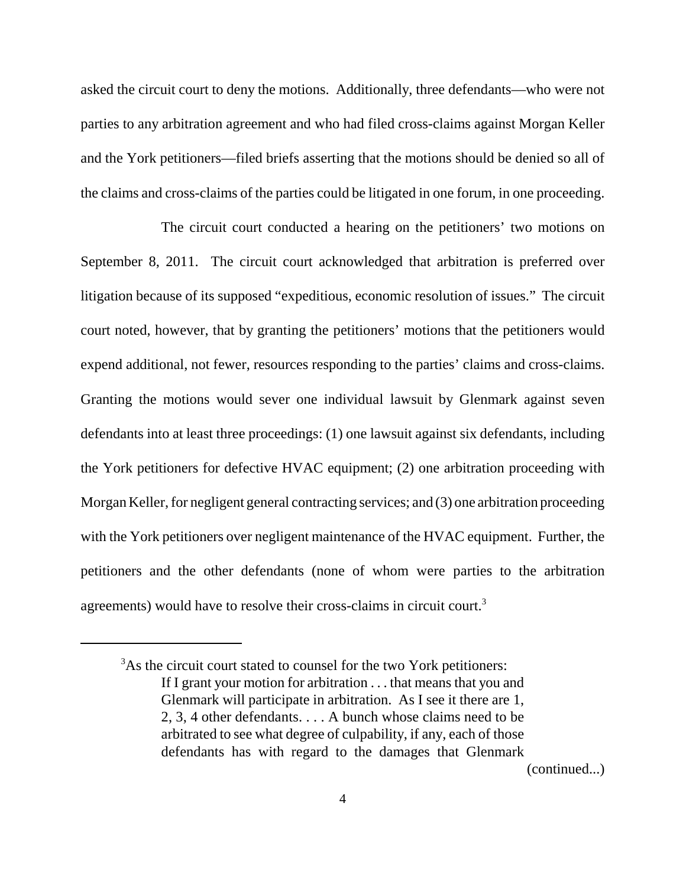asked the circuit court to deny the motions. Additionally, three defendants—who were not parties to any arbitration agreement and who had filed cross-claims against Morgan Keller and the York petitioners—filed briefs asserting that the motions should be denied so all of the claims and cross-claims of the parties could be litigated in one forum, in one proceeding.

 The circuit court conducted a hearing on the petitioners' two motions on September 8, 2011. The circuit court acknowledged that arbitration is preferred over litigation because of its supposed "expeditious, economic resolution of issues." The circuit court noted, however, that by granting the petitioners' motions that the petitioners would expend additional, not fewer, resources responding to the parties' claims and cross-claims. Granting the motions would sever one individual lawsuit by Glenmark against seven defendants into at least three proceedings: (1) one lawsuit against six defendants, including the York petitioners for defective HVAC equipment; (2) one arbitration proceeding with Morgan Keller, for negligent general contracting services; and (3) one arbitration proceeding with the York petitioners over negligent maintenance of the HVAC equipment. Further, the petitioners and the other defendants (none of whom were parties to the arbitration agreements) would have to resolve their cross-claims in circuit court.<sup>3</sup>

(continued...)

<sup>&</sup>lt;sup>3</sup>As the circuit court stated to counsel for the two York petitioners: If I grant your motion for arbitration . . . that means that you and Glenmark will participate in arbitration. As I see it there are 1, 2, 3, 4 other defendants. . . . A bunch whose claims need to be arbitrated to see what degree of culpability, if any, each of those defendants has with regard to the damages that Glenmark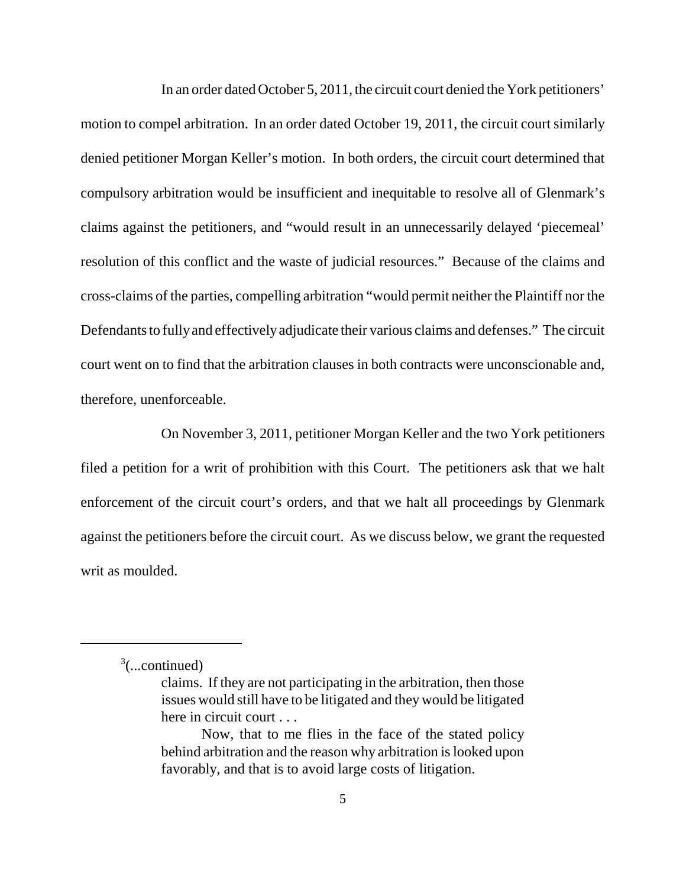In an order dated October 5, 2011, the circuit court denied the York petitioners' motion to compel arbitration. In an order dated October 19, 2011, the circuit court similarly denied petitioner Morgan Keller's motion. In both orders, the circuit court determined that compulsory arbitration would be insufficient and inequitable to resolve all of Glenmark's claims against the petitioners, and "would result in an unnecessarily delayed 'piecemeal' resolution of this conflict and the waste of judicial resources." Because of the claims and cross-claims of the parties, compelling arbitration "would permit neither the Plaintiff nor the Defendants to fully and effectively adjudicate their various claims and defenses." The circuit court went on to find that the arbitration clauses in both contracts were unconscionable and, therefore, unenforceable.

 On November 3, 2011, petitioner Morgan Keller and the two York petitioners filed a petition for a writ of prohibition with this Court. The petitioners ask that we halt enforcement of the circuit court's orders, and that we halt all proceedings by Glenmark against the petitioners before the circuit court. As we discuss below, we grant the requested writ as moulded.

<sup>3</sup> (...continued)

 claims. If they are not participating in the arbitration, then those issues would still have to be litigated and they would be litigated here in circuit court . . .

 Now, that to me flies in the face of the stated policy behind arbitration and the reason why arbitration is looked upon favorably, and that is to avoid large costs of litigation.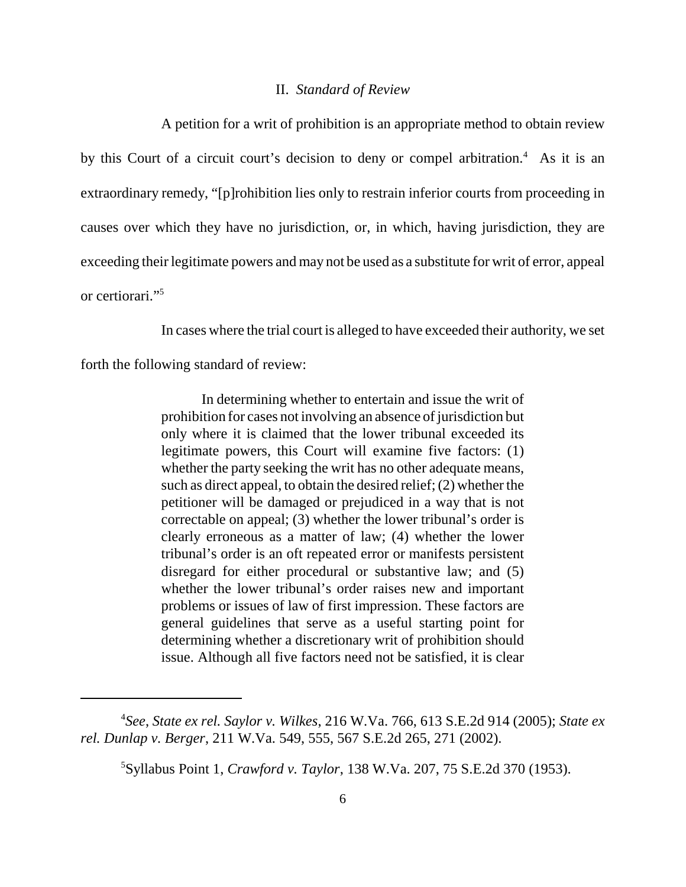# II. *Standard of Review*

 A petition for a writ of prohibition is an appropriate method to obtain review by this Court of a circuit court's decision to deny or compel arbitration.<sup>4</sup> As it is an extraordinary remedy, "[p]rohibition lies only to restrain inferior courts from proceeding in causes over which they have no jurisdiction, or, in which, having jurisdiction, they are exceeding their legitimate powers and may not be used as a substitute for writ of error, appeal or certiorari."5

In cases where the trial court is alleged to have exceeded their authority, we set

forth the following standard of review:

 In determining whether to entertain and issue the writ of prohibition for cases not involving an absence of jurisdiction but only where it is claimed that the lower tribunal exceeded its legitimate powers, this Court will examine five factors: (1) whether the party seeking the writ has no other adequate means, such as direct appeal, to obtain the desired relief; (2) whether the petitioner will be damaged or prejudiced in a way that is not correctable on appeal; (3) whether the lower tribunal's order is clearly erroneous as a matter of law; (4) whether the lower tribunal's order is an oft repeated error or manifests persistent disregard for either procedural or substantive law; and (5) whether the lower tribunal's order raises new and important problems or issues of law of first impression. These factors are general guidelines that serve as a useful starting point for determining whether a discretionary writ of prohibition should issue. Although all five factors need not be satisfied, it is clear

 4 *See*, *State ex rel. Saylor v. Wilkes*, 216 W.Va. 766, 613 S.E.2d 914 (2005); *State ex rel. Dunlap v. Berger*, 211 W.Va. 549, 555, 567 S.E.2d 265, 271 (2002).

 5 Syllabus Point 1, *Crawford v. Taylor*, 138 W.Va. 207, 75 S.E.2d 370 (1953).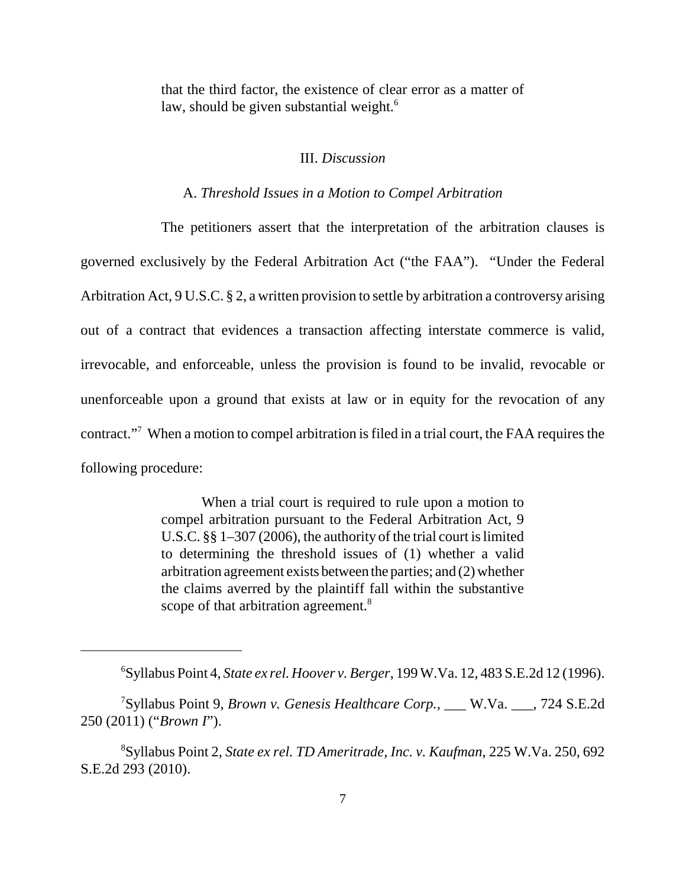that the third factor, the existence of clear error as a matter of law, should be given substantial weight.<sup>6</sup>

#### III. *Discussion*

# A. *Threshold Issues in a Motion to Compel Arbitration*

 The petitioners assert that the interpretation of the arbitration clauses is governed exclusively by the Federal Arbitration Act ("the FAA"). "Under the Federal Arbitration Act, 9 U.S.C. § 2, a written provision to settle by arbitration a controversy arising out of a contract that evidences a transaction affecting interstate commerce is valid, irrevocable, and enforceable, unless the provision is found to be invalid, revocable or unenforceable upon a ground that exists at law or in equity for the revocation of any contract."<sup>7</sup> When a motion to compel arbitration is filed in a trial court, the FAA requires the following procedure:

> When a trial court is required to rule upon a motion to compel arbitration pursuant to the Federal Arbitration Act, 9 U.S.C. §§ 1–307 (2006), the authority of the trial court is limited to determining the threshold issues of (1) whether a valid arbitration agreement exists between the parties; and (2) whether the claims averred by the plaintiff fall within the substantive scope of that arbitration agreement.<sup>8</sup>

 6 Syllabus Point 4, *State ex rel. Hoover v. Berger*, 199 W.Va. 12, 483 S.E.2d 12 (1996).

 7 Syllabus Point 9, *Brown v. Genesis Healthcare Corp.*, \_\_\_ W.Va. \_\_\_, 724 S.E.2d 250 (2011) ("*Brown I*").

 8 Syllabus Point 2, *State ex rel. TD Ameritrade, Inc. v. Kaufman*, 225 W.Va. 250, 692 S.E.2d 293 (2010).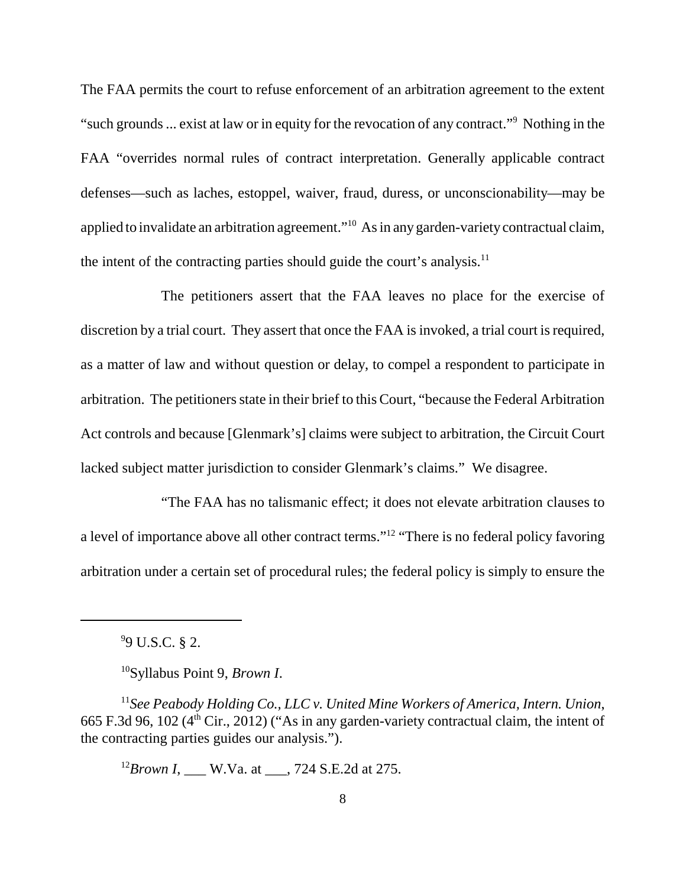The FAA permits the court to refuse enforcement of an arbitration agreement to the extent "such grounds ... exist at law or in equity for the revocation of any contract."9 Nothing in the FAA "overrides normal rules of contract interpretation. Generally applicable contract defenses—such as laches, estoppel, waiver, fraud, duress, or unconscionability—may be applied to invalidate an arbitration agreement."<sup>10</sup> As in any garden-variety contractual claim, the intent of the contracting parties should guide the court's analysis. $<sup>11</sup>$ </sup>

 The petitioners assert that the FAA leaves no place for the exercise of discretion by a trial court. They assert that once the FAA is invoked, a trial court is required, as a matter of law and without question or delay, to compel a respondent to participate in arbitration. The petitioners state in their brief to this Court, "because the Federal Arbitration Act controls and because [Glenmark's] claims were subject to arbitration, the Circuit Court lacked subject matter jurisdiction to consider Glenmark's claims." We disagree.

 "The FAA has no talismanic effect; it does not elevate arbitration clauses to a level of importance above all other contract terms."<sup>12</sup> "There is no federal policy favoring arbitration under a certain set of procedural rules; the federal policy is simply to ensure the

9 9 U.S.C. § 2.

10Syllabus Point 9, *Brown I*.

<sup>11</sup> See Peabody Holding Co., LLC v. United Mine Workers of America, Intern. Union, 665 F.3d 96, 102 ( $4<sup>th</sup>$  Cir., 2012) ("As in any garden-variety contractual claim, the intent of the contracting parties guides our analysis.").

<sup>12</sup>*Brown I*, \_\_\_ W.Va. at \_\_\_, 724 S.E.2d at 275.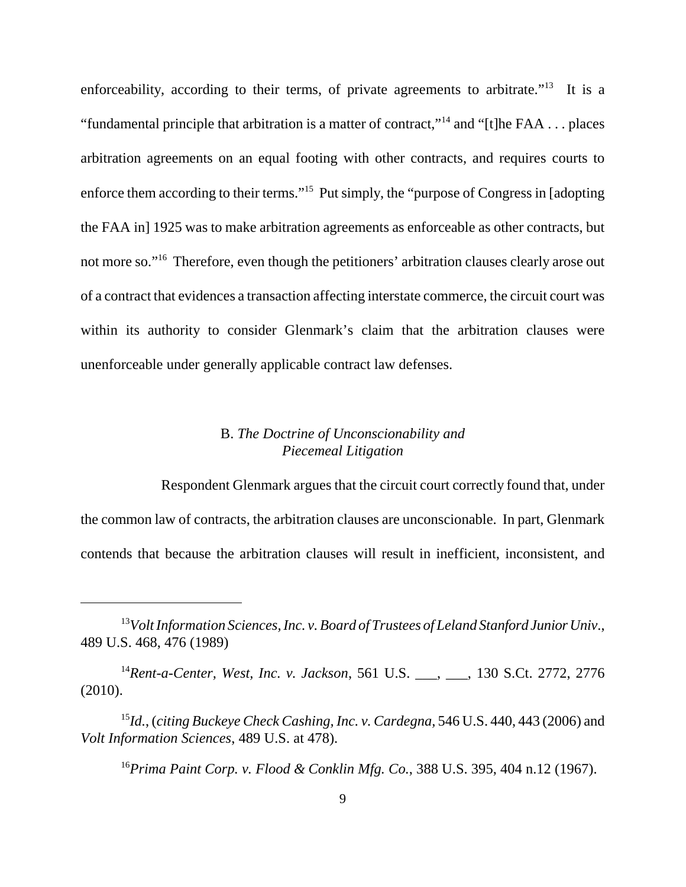enforceability, according to their terms, of private agreements to arbitrate."<sup>13</sup> It is a "fundamental principle that arbitration is a matter of contract,"<sup>14</sup> and "[t]he FAA . . . places arbitration agreements on an equal footing with other contracts, and requires courts to enforce them according to their terms."<sup>15</sup> Put simply, the "purpose of Congress in [adopting the FAA in] 1925 was to make arbitration agreements as enforceable as other contracts, but not more so."<sup>16</sup> Therefore, even though the petitioners' arbitration clauses clearly arose out of a contract that evidences a transaction affecting interstate commerce, the circuit court was within its authority to consider Glenmark's claim that the arbitration clauses were unenforceable under generally applicable contract law defenses.

# B. *The Doctrine of Unconscionability and Piecemeal Litigation*

 Respondent Glenmark argues that the circuit court correctly found that, under the common law of contracts, the arbitration clauses are unconscionable. In part, Glenmark contends that because the arbitration clauses will result in inefficient, inconsistent, and

<sup>14</sup>Rent-a-Center, West, Inc. v. Jackson, 561 U.S. <sub>\_\_\_,</sub> \_\_\_, 130 S.Ct. 2772, 2776 (2010).

 <sup>15</sup>*Id.*, (*citing Buckeye Check Cashing, Inc. v. Cardegna,* 546 U.S. 440, 443 (2006) and  *Volt Information Sciences*, 489 U.S. at 478).

 <sup>16</sup>*Prima Paint Corp. v. Flood & Conklin Mfg. Co.*, 388 U.S. 395, 404 n.12 (1967).

 <sup>13</sup>*Volt Information Sciences, Inc. v. Board of Trustees of Leland Stanford Junior Univ*., 489 U.S. 468, 476 (1989)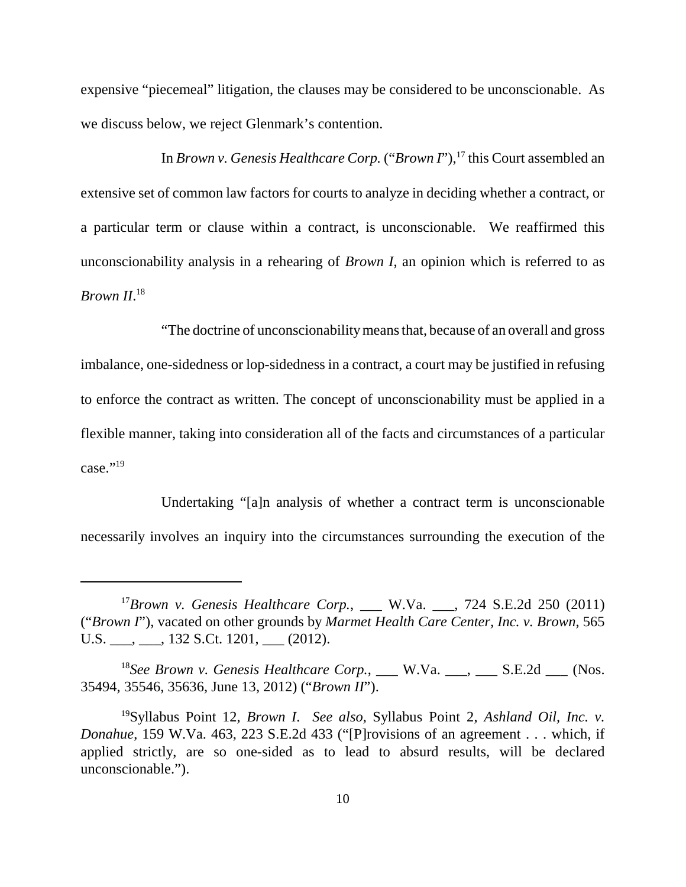expensive "piecemeal" litigation, the clauses may be considered to be unconscionable. As we discuss below, we reject Glenmark's contention.

In *Brown v. Genesis Healthcare Corp.* ("*Brown I*"),<sup>17</sup> this Court assembled an extensive set of common law factors for courts to analyze in deciding whether a contract, or a particular term or clause within a contract, is unconscionable. We reaffirmed this unconscionability analysis in a rehearing of *Brown I*, an opinion which is referred to as *Brown II*. 18

 "The doctrine of unconscionability means that, because of an overall and gross imbalance, one-sidedness or lop-sidedness in a contract, a court may be justified in refusing to enforce the contract as written. The concept of unconscionability must be applied in a flexible manner, taking into consideration all of the facts and circumstances of a particular case."<sup>19</sup>

 Undertaking "[a]n analysis of whether a contract term is unconscionable necessarily involves an inquiry into the circumstances surrounding the execution of the

<sup>18</sup>See Brown v. Genesis Healthcare Corp., \_\_\_ W.Va. \_\_\_, \_\_\_ S.E.2d \_\_\_ (Nos. 35494, 35546, 35636, June 13, 2012) ("*Brown II*").

<sup>&</sup>lt;sup>17</sup>Brown v. Genesis Healthcare Corp., \_\_\_ W.Va. \_\_\_, 724 S.E.2d 250 (2011) ("*Brown I*"), vacated on other grounds by *Marmet Health Care Center, Inc. v. Brown*, 565 U.S.  $\_\_\_\,,\_\_\_\$ 132 S.Ct. 1201,  $\_\_\_\_$ (2012).

 19Syllabus Point 12, *Brown I*. *See also*, Syllabus Point 2, *Ashland Oil, Inc. v. Donahue*, 159 W.Va. 463, 223 S.E.2d 433 ("[P]rovisions of an agreement . . . which, if applied strictly, are so one-sided as to lead to absurd results, will be declared unconscionable.").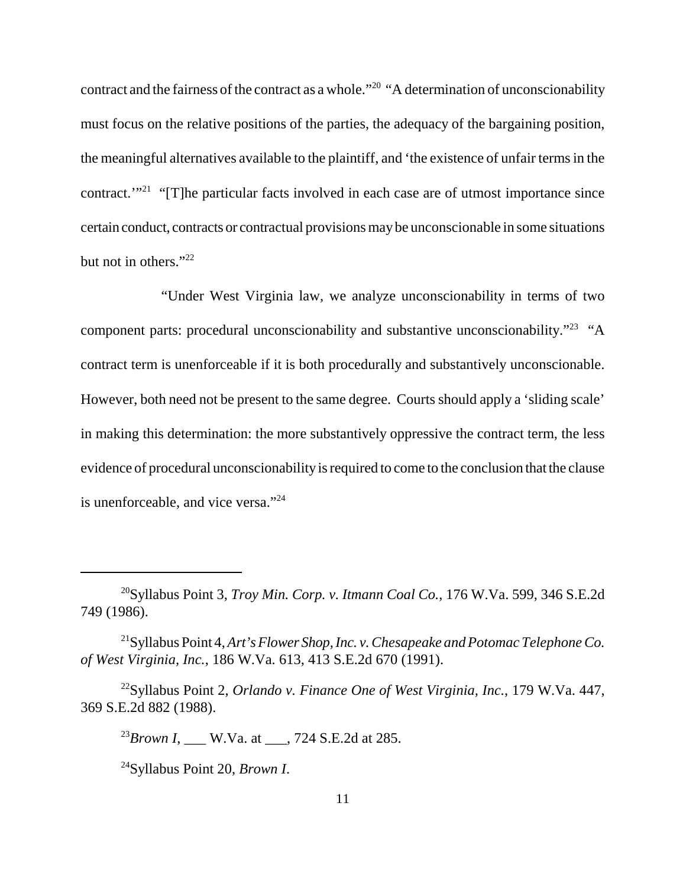contract and the fairness of the contract as a whole."<sup>20</sup> "A determination of unconscionability must focus on the relative positions of the parties, the adequacy of the bargaining position, the meaningful alternatives available to the plaintiff, and 'the existence of unfair terms in the contract."<sup>21</sup> "[T]he particular facts involved in each case are of utmost importance since certain conduct, contracts or contractual provisions maybe unconscionable in some situations but not in others."<sup>22</sup>

 "Under West Virginia law, we analyze unconscionability in terms of two component parts: procedural unconscionability and substantive unconscionability."<sup>23</sup> "A contract term is unenforceable if it is both procedurally and substantively unconscionable. However, both need not be present to the same degree. Courts should apply a 'sliding scale' in making this determination: the more substantively oppressive the contract term, the less evidence of procedural unconscionability is required to come to the conclusion that the clause is unenforceable, and vice versa."<sup>24</sup>

 20Syllabus Point 3, *Troy Min. Corp. v. Itmann Coal Co.*, 176 W.Va. 599, 346 S.E.2d 749 (1986).

 21Syllabus Point 4, *Art's Flower Shop, Inc. v. Chesapeake and Potomac Telephone Co. of West Virginia, Inc.*, 186 W.Va. 613, 413 S.E.2d 670 (1991).

 22Syllabus Point 2, *Orlando v. Finance One of West Virginia, Inc.*, 179 W.Va. 447, 369 S.E.2d 882 (1988).

 <sup>23</sup>*Brown I*, \_\_\_ W.Va. at \_\_\_, 724 S.E.2d at 285.

 24Syllabus Point 20, *Brown I*.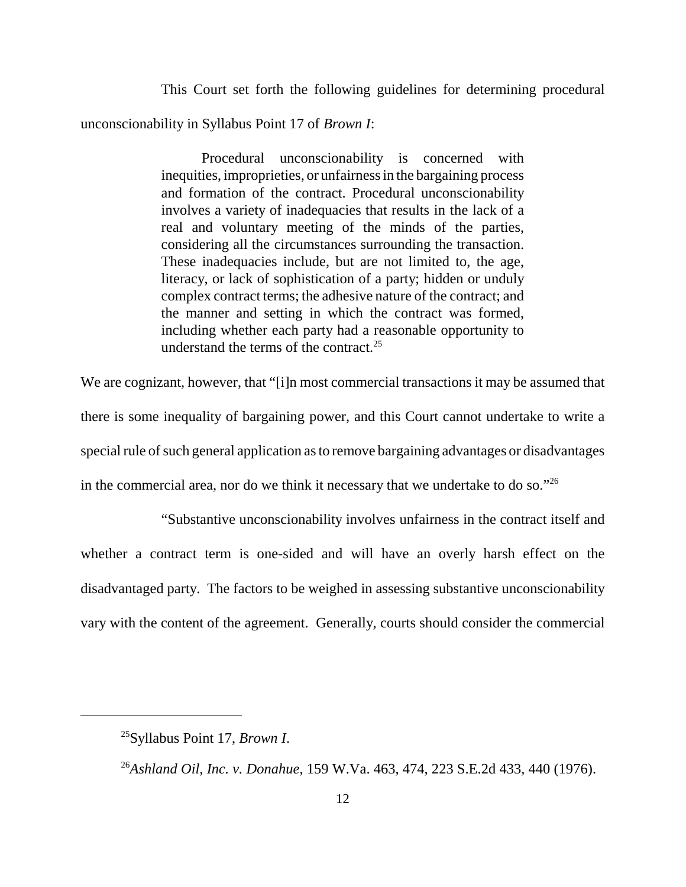This Court set forth the following guidelines for determining procedural unconscionability in Syllabus Point 17 of *Brown I*:

> Procedural unconscionability is concerned with inequities, improprieties, or unfairness in the bargaining process and formation of the contract. Procedural unconscionability involves a variety of inadequacies that results in the lack of a real and voluntary meeting of the minds of the parties, considering all the circumstances surrounding the transaction. These inadequacies include, but are not limited to, the age, literacy, or lack of sophistication of a party; hidden or unduly complex contract terms; the adhesive nature of the contract; and the manner and setting in which the contract was formed, including whether each party had a reasonable opportunity to understand the terms of the contract.<sup>25</sup>

 We are cognizant, however, that "[i]n most commercial transactions it may be assumed that there is some inequality of bargaining power, and this Court cannot undertake to write a special rule of such general application as to remove bargaining advantages or disadvantages in the commercial area, nor do we think it necessary that we undertake to do so." $26$ 

 "Substantive unconscionability involves unfairness in the contract itself and whether a contract term is one-sided and will have an overly harsh effect on the disadvantaged party. The factors to be weighed in assessing substantive unconscionability vary with the content of the agreement. Generally, courts should consider the commercial

 25Syllabus Point 17, *Brown I*.

 26*Ashland Oil, Inc. v. Donahue*, 159 W.Va. 463, 474, 223 S.E.2d 433, 440 (1976).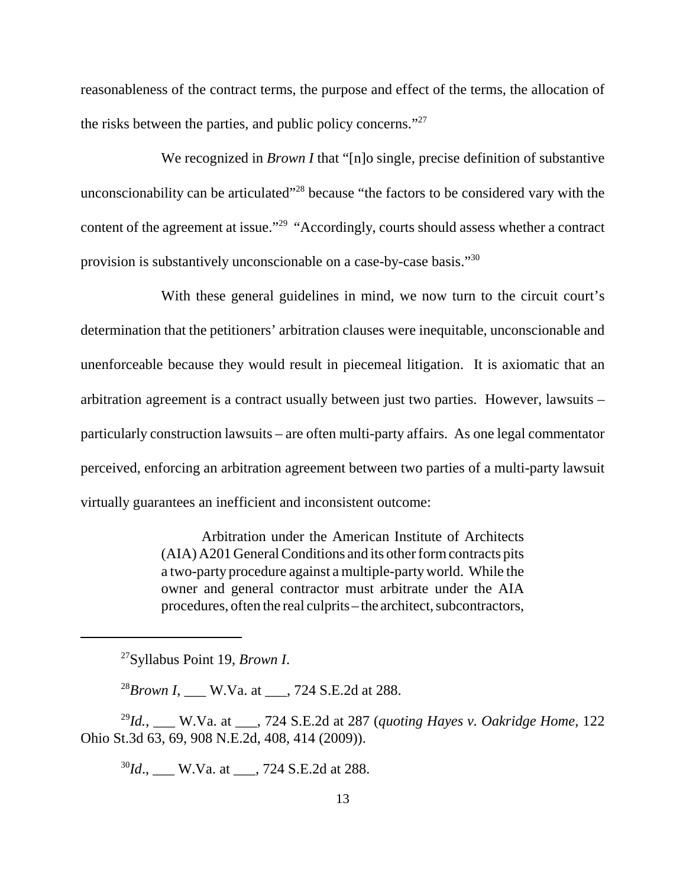reasonableness of the contract terms, the purpose and effect of the terms, the allocation of the risks between the parties, and public policy concerns."<sup>27</sup>

We recognized in *Brown I* that "[n]o single, precise definition of substantive unconscionability can be articulated"<sup>28</sup> because "the factors to be considered vary with the content of the agreement at issue."<sup>29</sup> "Accordingly, courts should assess whether a contract provision is substantively unconscionable on a case-by-case basis."<sup>30</sup>

 With these general guidelines in mind, we now turn to the circuit court's determination that the petitioners' arbitration clauses were inequitable, unconscionable and unenforceable because they would result in piecemeal litigation. It is axiomatic that an arbitration agreement is a contract usually between just two parties. However, lawsuits – particularly construction lawsuits – are often multi-party affairs. As one legal commentator perceived, enforcing an arbitration agreement between two parties of a multi-party lawsuit virtually guarantees an inefficient and inconsistent outcome:

> Arbitration under the American Institute of Architects (AIA) A201 General Conditions and its other form contracts pits a two-party procedure against a multiple-party world. While the owner and general contractor must arbitrate under the AIA procedures, often the real culprits – the architect, subcontractors,

27Syllabus Point 19, *Brown I*.

28*Brown I*, \_\_\_ W.Va. at \_\_\_, 724 S.E.2d at 288.

 29*Id.*, \_\_\_ W.Va. at \_\_\_, 724 S.E.2d at 287 (*quoting Hayes v. Oakridge Home*, 122 Ohio St.3d 63, 69, 908 N.E.2d, 408, 414 (2009)).

<sup>30</sup>*Id*., \_\_\_ W.Va. at \_\_\_, 724 S.E.2d at 288.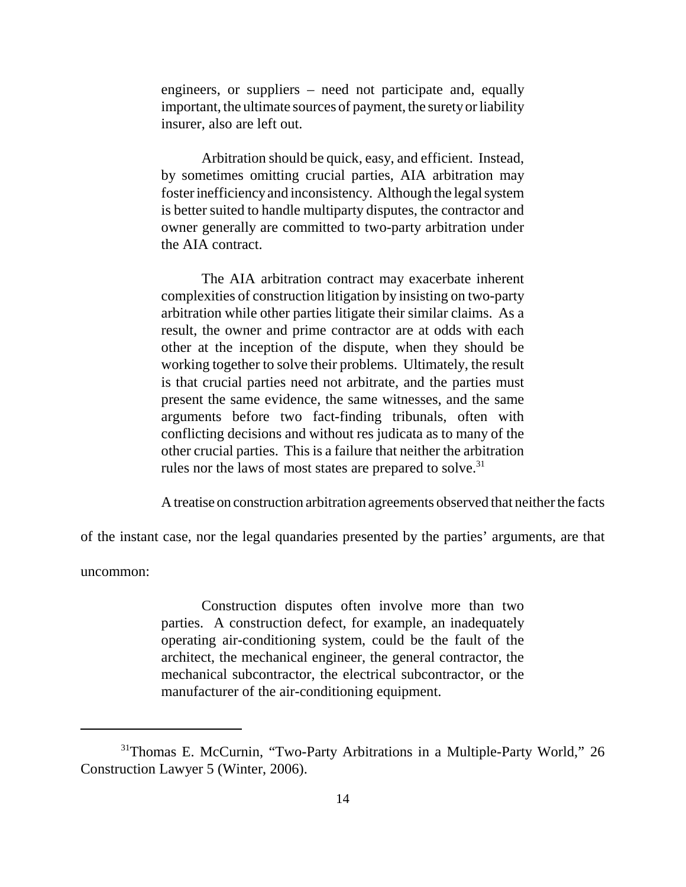engineers, or suppliers – need not participate and, equally important, the ultimate sources of payment, the suretyor liability insurer, also are left out.

 Arbitration should be quick, easy, and efficient. Instead, by sometimes omitting crucial parties, AIA arbitration may foster inefficiencyand inconsistency. Although the legal system is better suited to handle multiparty disputes, the contractor and owner generally are committed to two-party arbitration under the AIA contract.

 The AIA arbitration contract may exacerbate inherent complexities of construction litigation by insisting on two-party arbitration while other parties litigate their similar claims. As a result, the owner and prime contractor are at odds with each other at the inception of the dispute, when they should be working together to solve their problems. Ultimately, the result is that crucial parties need not arbitrate, and the parties must present the same evidence, the same witnesses, and the same arguments before two fact-finding tribunals, often with conflicting decisions and without res judicata as to many of the other crucial parties. This is a failure that neither the arbitration rules nor the laws of most states are prepared to solve.<sup>31</sup>

A treatise on construction arbitration agreements observed that neither the facts

of the instant case, nor the legal quandaries presented by the parties' arguments, are that

uncommon:

 Construction disputes often involve more than two parties. A construction defect, for example, an inadequately operating air-conditioning system, could be the fault of the architect, the mechanical engineer, the general contractor, the mechanical subcontractor, the electrical subcontractor, or the manufacturer of the air-conditioning equipment.

<sup>&</sup>lt;sup>31</sup>Thomas E. McCurnin, "Two-Party Arbitrations in a Multiple-Party World," 26 Construction Lawyer 5 (Winter, 2006).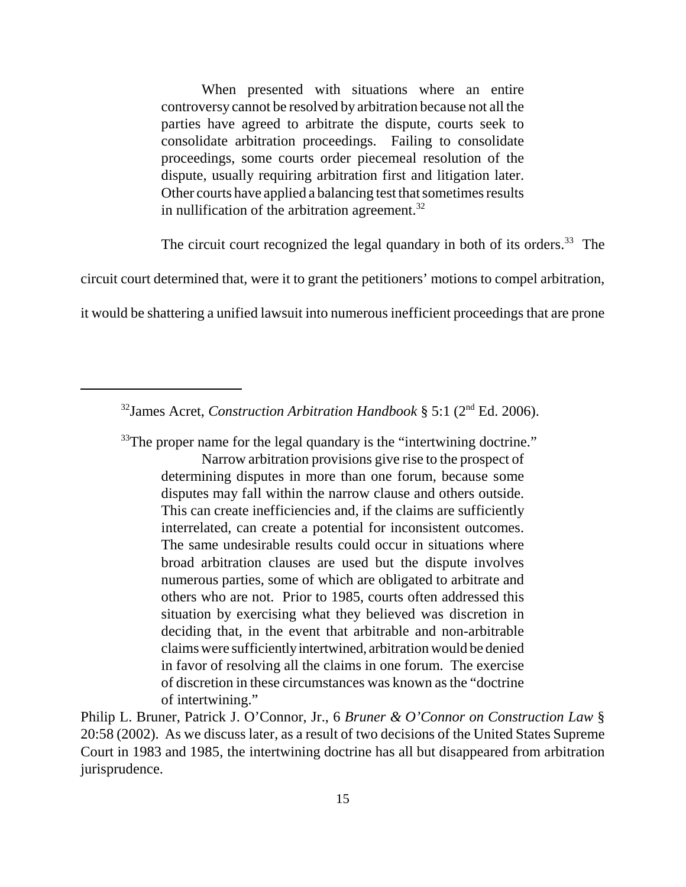When presented with situations where an entire controversy cannot be resolved by arbitration because not all the parties have agreed to arbitrate the dispute, courts seek to consolidate arbitration proceedings. Failing to consolidate proceedings, some courts order piecemeal resolution of the dispute, usually requiring arbitration first and litigation later. Other courts have applied a balancing test that sometimes results in nullification of the arbitration agreement. $32$ 

The circuit court recognized the legal quandary in both of its orders.<sup>33</sup> The

circuit court determined that, were it to grant the petitioners' motions to compel arbitration,

it would be shattering a unified lawsuit into numerous inefficient proceedings that are prone

 $33$ The proper name for the legal quandary is the "intertwining doctrine."

 Narrow arbitration provisions give rise to the prospect of determining disputes in more than one forum, because some disputes may fall within the narrow clause and others outside. This can create inefficiencies and, if the claims are sufficiently interrelated, can create a potential for inconsistent outcomes. The same undesirable results could occur in situations where broad arbitration clauses are used but the dispute involves numerous parties, some of which are obligated to arbitrate and others who are not. Prior to 1985, courts often addressed this situation by exercising what they believed was discretion in claims were sufficientlyintertwined, arbitration would be denied in favor of resolving all the claims in one forum. The exercise of discretion in these circumstances was known as the "doctrine deciding that, in the event that arbitrable and non-arbitrable of intertwining."

 Philip L. Bruner, Patrick J. O'Connor, Jr., 6 *Bruner & O'Connor on Construction Law* § 20:58 (2002). As we discuss later, as a result of two decisions of the United States Supreme Court in 1983 and 1985, the intertwining doctrine has all but disappeared from arbitration jurisprudence.

 32James Acret, *Construction Arbitration Handbook* § 5:1 (2nd Ed. 2006).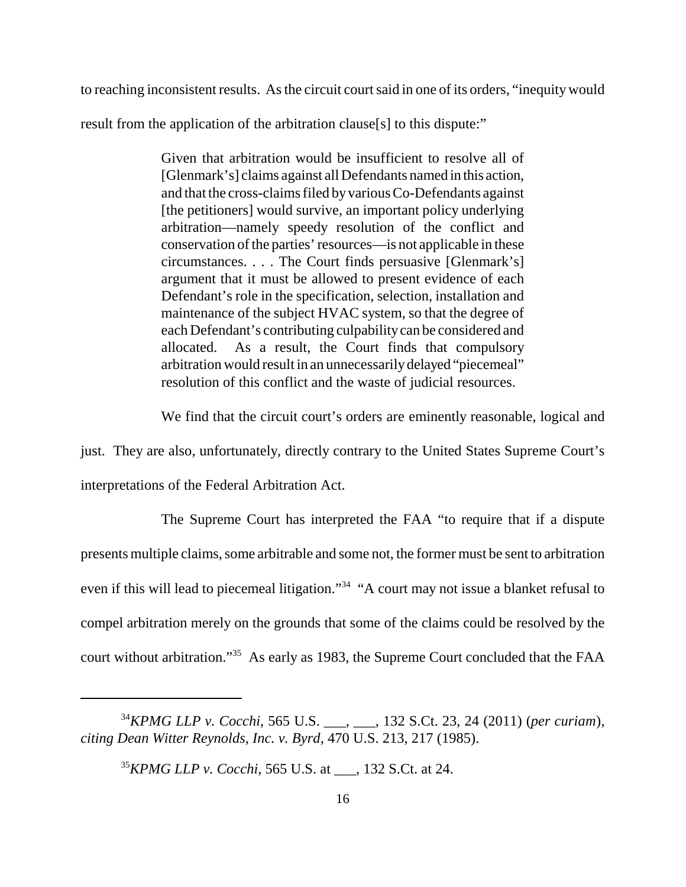to reaching inconsistent results. As the circuit court said in one of its orders, "inequity would

result from the application of the arbitration clause[s] to this dispute:"

 Given that arbitration would be insufficient to resolve all of [Glenmark's] claims against all Defendants named in this action, and that the cross-claims filed byvarious Co-Defendants against [the petitioners] would survive, an important policy underlying arbitration—namely speedy resolution of the conflict and conservation of the parties' resources—is not applicable in these circumstances. . . . The Court finds persuasive [Glenmark's] argument that it must be allowed to present evidence of each Defendant's role in the specification, selection, installation and maintenance of the subject HVAC system, so that the degree of each Defendant's contributing culpabilitycan be considered and allocated. As a result, the Court finds that compulsory arbitration would result in an unnecessarilydelayed "piecemeal" resolution of this conflict and the waste of judicial resources.

We find that the circuit court's orders are eminently reasonable, logical and

just. They are also, unfortunately, directly contrary to the United States Supreme Court's

interpretations of the Federal Arbitration Act.

 The Supreme Court has interpreted the FAA "to require that if a dispute presents multiple claims, some arbitrable and some not, the former must be sent to arbitration even if this will lead to piecemeal litigation."<sup>34</sup> "A court may not issue a blanket refusal to compel arbitration merely on the grounds that some of the claims could be resolved by the court without arbitration."<sup>35</sup> As early as 1983, the Supreme Court concluded that the FAA

 <sup>34</sup>*KPMG LLP v. Cocchi*, 565 U.S. \_\_\_, \_\_\_, 132 S.Ct. 23, 24 (2011) (*per curiam*),  *citing Dean Witter Reynolds, Inc. v. Byrd*, 470 U.S. 213, 217 (1985).

 <sup>35</sup>*KPMG LLP v. Cocchi*, 565 U.S. at \_\_\_, 132 S.Ct. at 24.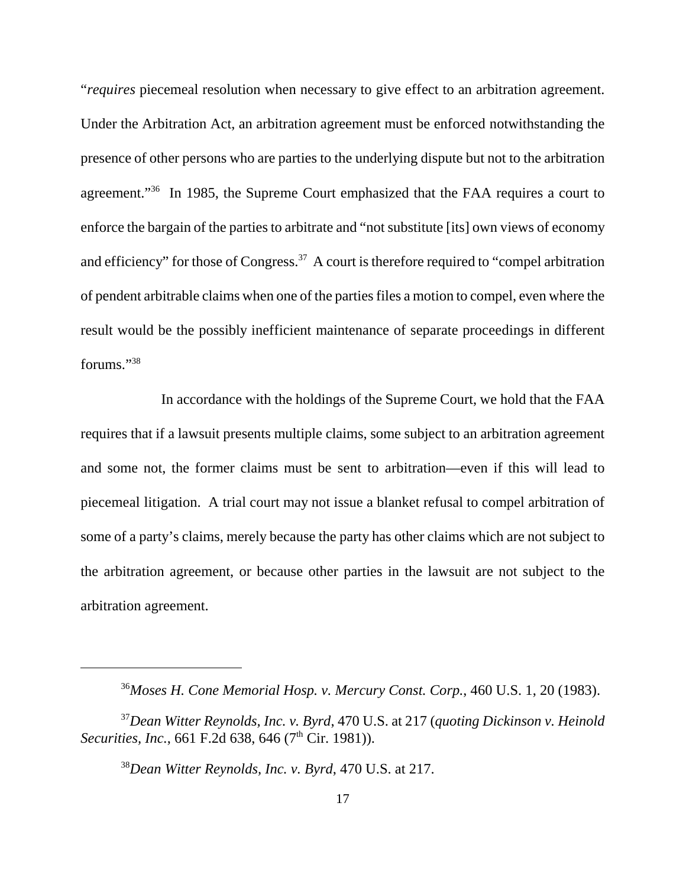"*requires* piecemeal resolution when necessary to give effect to an arbitration agreement. Under the Arbitration Act, an arbitration agreement must be enforced notwithstanding the presence of other persons who are parties to the underlying dispute but not to the arbitration agreement."<sup>36</sup> In 1985, the Supreme Court emphasized that the FAA requires a court to enforce the bargain of the parties to arbitrate and "not substitute [its] own views of economy and efficiency" for those of Congress.<sup>37</sup> A court is therefore required to "compel arbitration" of pendent arbitrable claims when one of the parties files a motion to compel, even where the result would be the possibly inefficient maintenance of separate proceedings in different forums."38

 In accordance with the holdings of the Supreme Court, we hold that the FAA requires that if a lawsuit presents multiple claims, some subject to an arbitration agreement and some not, the former claims must be sent to arbitration—even if this will lead to piecemeal litigation. A trial court may not issue a blanket refusal to compel arbitration of some of a party's claims, merely because the party has other claims which are not subject to the arbitration agreement, or because other parties in the lawsuit are not subject to the arbitration agreement.

 <sup>36</sup>*Moses H. Cone Memorial Hosp. v. Mercury Const. Corp.*, 460 U.S. 1, 20 (1983).

 <sup>37</sup>*Dean Witter Reynolds, Inc. v. Byrd*, 470 U.S. at 217 (*quoting Dickinson v. Heinold Securities, Inc.,* 661 F.2d 638, 646 (7<sup>th</sup> Cir. 1981)).

 <sup>38</sup>*Dean Witter Reynolds, Inc. v. Byrd*, 470 U.S. at 217.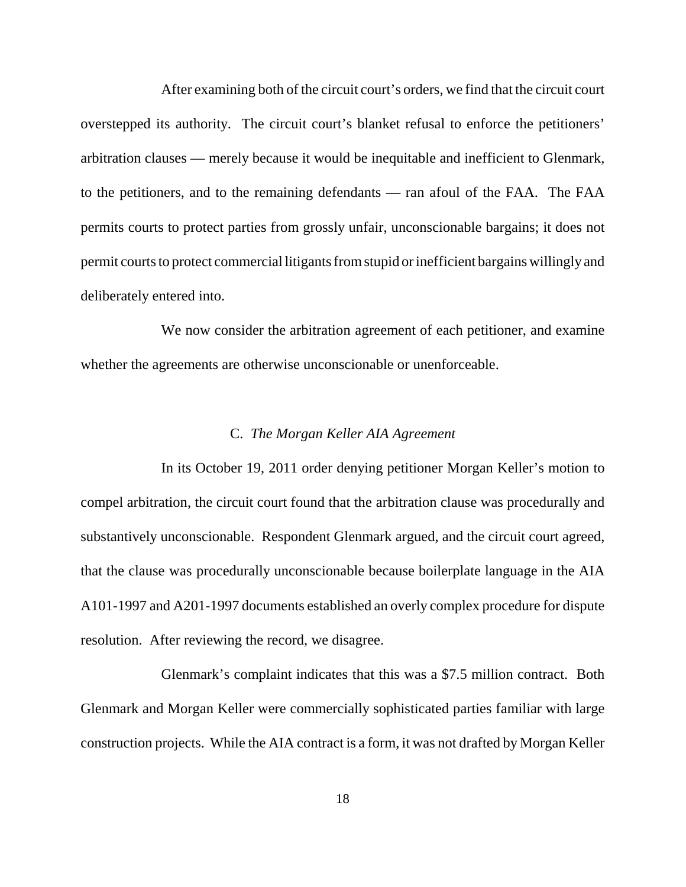After examining both of the circuit court's orders, we find that the circuit court overstepped its authority. The circuit court's blanket refusal to enforce the petitioners' arbitration clauses — merely because it would be inequitable and inefficient to Glenmark, to the petitioners, and to the remaining defendants — ran afoul of the FAA. The FAA permits courts to protect parties from grossly unfair, unconscionable bargains; it does not permit courts to protect commercial litigants from stupid or inefficient bargains willingly and deliberately entered into.

 We now consider the arbitration agreement of each petitioner, and examine whether the agreements are otherwise unconscionable or unenforceable.

# C. *The Morgan Keller AIA Agreement*

 In its October 19, 2011 order denying petitioner Morgan Keller's motion to compel arbitration, the circuit court found that the arbitration clause was procedurally and substantively unconscionable. Respondent Glenmark argued, and the circuit court agreed, that the clause was procedurally unconscionable because boilerplate language in the AIA A101-1997 and A201-1997 documents established an overly complex procedure for dispute resolution. After reviewing the record, we disagree.

 Glenmark's complaint indicates that this was a \$7.5 million contract. Both Glenmark and Morgan Keller were commercially sophisticated parties familiar with large construction projects. While the AIA contract is a form, it was not drafted by Morgan Keller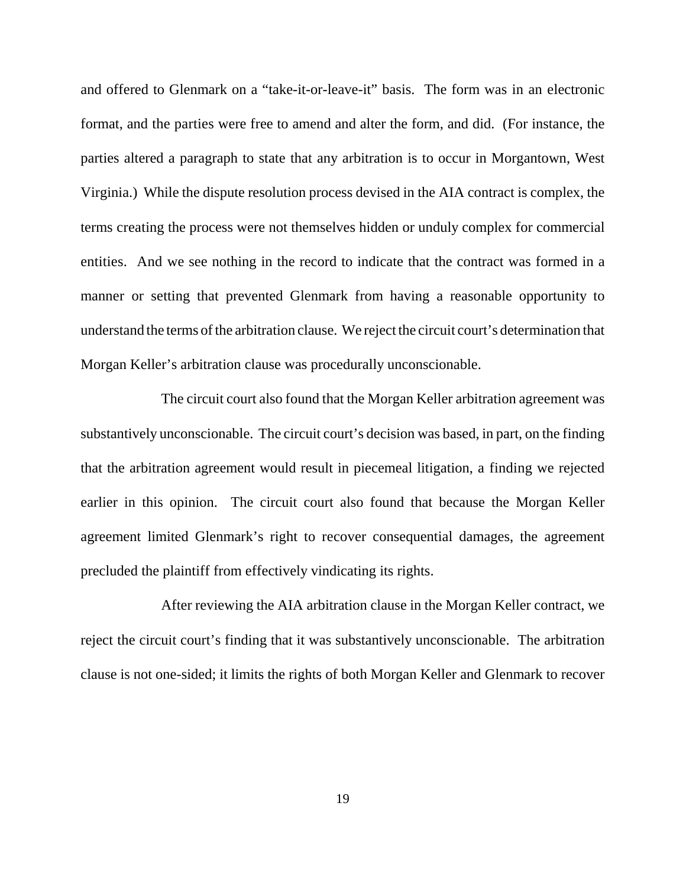and offered to Glenmark on a "take-it-or-leave-it" basis. The form was in an electronic format, and the parties were free to amend and alter the form, and did. (For instance, the parties altered a paragraph to state that any arbitration is to occur in Morgantown, West Virginia.) While the dispute resolution process devised in the AIA contract is complex, the terms creating the process were not themselves hidden or unduly complex for commercial entities. And we see nothing in the record to indicate that the contract was formed in a manner or setting that prevented Glenmark from having a reasonable opportunity to understand the terms of the arbitration clause. We reject the circuit court's determination that Morgan Keller's arbitration clause was procedurally unconscionable.

 The circuit court also found that the Morgan Keller arbitration agreement was substantively unconscionable. The circuit court's decision was based, in part, on the finding that the arbitration agreement would result in piecemeal litigation, a finding we rejected earlier in this opinion. The circuit court also found that because the Morgan Keller agreement limited Glenmark's right to recover consequential damages, the agreement precluded the plaintiff from effectively vindicating its rights.

 After reviewing the AIA arbitration clause in the Morgan Keller contract, we reject the circuit court's finding that it was substantively unconscionable. The arbitration clause is not one-sided; it limits the rights of both Morgan Keller and Glenmark to recover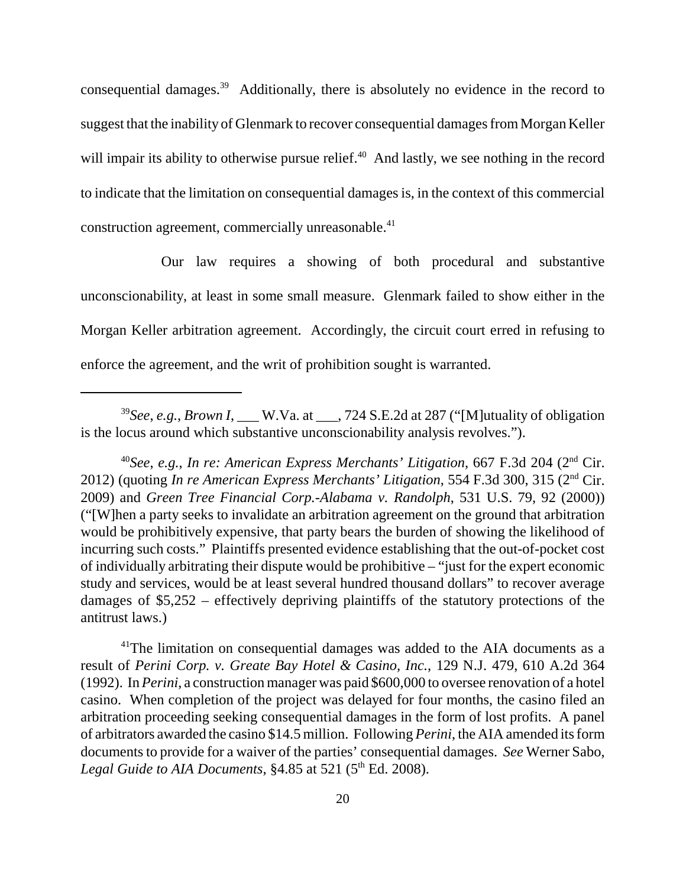consequential damages.<sup>39</sup> Additionally, there is absolutely no evidence in the record to suggest that the inability of Glenmark to recover consequential damages from Morgan Keller will impair its ability to otherwise pursue relief. $40$  And lastly, we see nothing in the record to indicate that the limitation on consequential damages is, in the context of this commercial construction agreement, commercially unreasonable.<sup>41</sup>

 Our law requires a showing of both procedural and substantive unconscionability, at least in some small measure. Glenmark failed to show either in the Morgan Keller arbitration agreement. Accordingly, the circuit court erred in refusing to enforce the agreement, and the writ of prohibition sought is warranted.

 $41$ <sup>The limitation on consequential damages was added to the AIA documents as a</sup> result of *Perini Corp. v. Greate Bay Hotel & Casino, Inc.*, 129 N.J. 479, 610 A.2d 364 (1992). In *Perini*, a construction manager was paid \$600,000 to oversee renovation of a hotel casino. When completion of the project was delayed for four months, the casino filed an arbitration proceeding seeking consequential damages in the form of lost profits. A panel of arbitrators awarded the casino \$14.5 million. Following *Perini*, the AIA amended its form documents to provide for a waiver of the parties' consequential damages. *See* Werner Sabo, Legal Guide to AIA Documents, §4.85 at 521 (5<sup>th</sup> Ed. 2008).

 <sup>39</sup>*See*, *e.g.*, *Brown I*, \_\_\_ W.Va. at \_\_\_, 724 S.E.2d at 287 ("[M]utuality of obligation is the locus around which substantive unconscionability analysis revolves.").

 <sup>40</sup>*See*, *e.g.*, *In re: American Express Merchants' Litigation*, 667 F.3d 204 (2nd Cir. 2012) (quoting *In re American Express Merchants' Litigation*, 554 F.3d 300, 315 (2nd Cir. 2009) and *Green Tree Financial Corp.-Alabama v. Randolph*, 531 U.S. 79, 92 (2000)) ("[W]hen a party seeks to invalidate an arbitration agreement on the ground that arbitration would be prohibitively expensive, that party bears the burden of showing the likelihood of incurring such costs." Plaintiffs presented evidence establishing that the out-of-pocket cost of individually arbitrating their dispute would be prohibitive – "just for the expert economic study and services, would be at least several hundred thousand dollars" to recover average damages of \$5,252 – effectively depriving plaintiffs of the statutory protections of the antitrust laws.)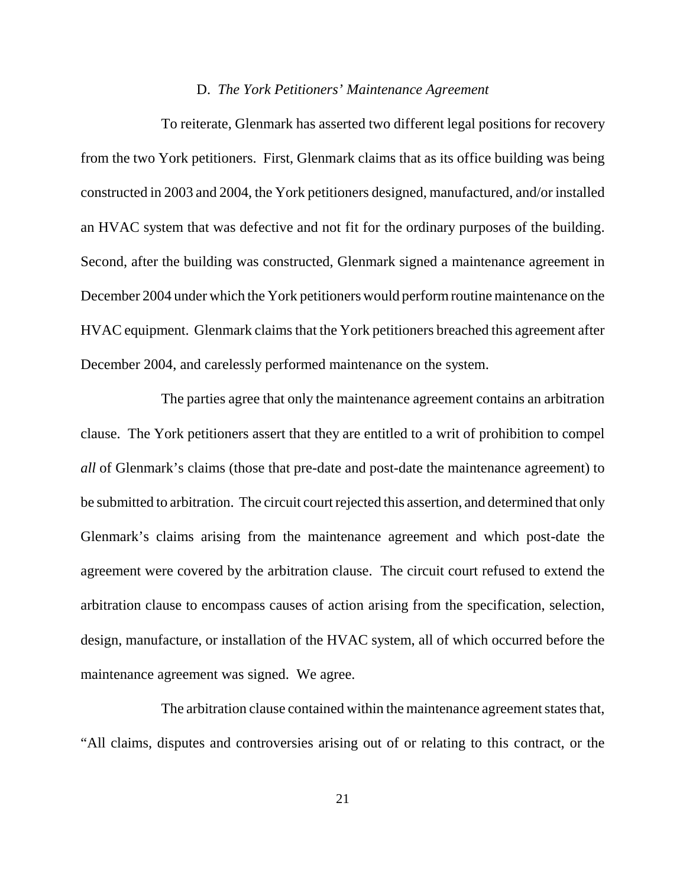# D. *The York Petitioners' Maintenance Agreement*

 To reiterate, Glenmark has asserted two different legal positions for recovery from the two York petitioners. First, Glenmark claims that as its office building was being constructed in 2003 and 2004, the York petitioners designed, manufactured, and/or installed an HVAC system that was defective and not fit for the ordinary purposes of the building. Second, after the building was constructed, Glenmark signed a maintenance agreement in December 2004 under which the York petitioners would perform routine maintenance on the HVAC equipment. Glenmark claims that the York petitioners breached this agreement after December 2004, and carelessly performed maintenance on the system.

 The parties agree that only the maintenance agreement contains an arbitration clause. The York petitioners assert that they are entitled to a writ of prohibition to compel *all* of Glenmark's claims (those that pre-date and post-date the maintenance agreement) to be submitted to arbitration. The circuit court rejected this assertion, and determined that only Glenmark's claims arising from the maintenance agreement and which post-date the agreement were covered by the arbitration clause. The circuit court refused to extend the arbitration clause to encompass causes of action arising from the specification, selection, design, manufacture, or installation of the HVAC system, all of which occurred before the maintenance agreement was signed. We agree.

 The arbitration clause contained within the maintenance agreement states that, "All claims, disputes and controversies arising out of or relating to this contract, or the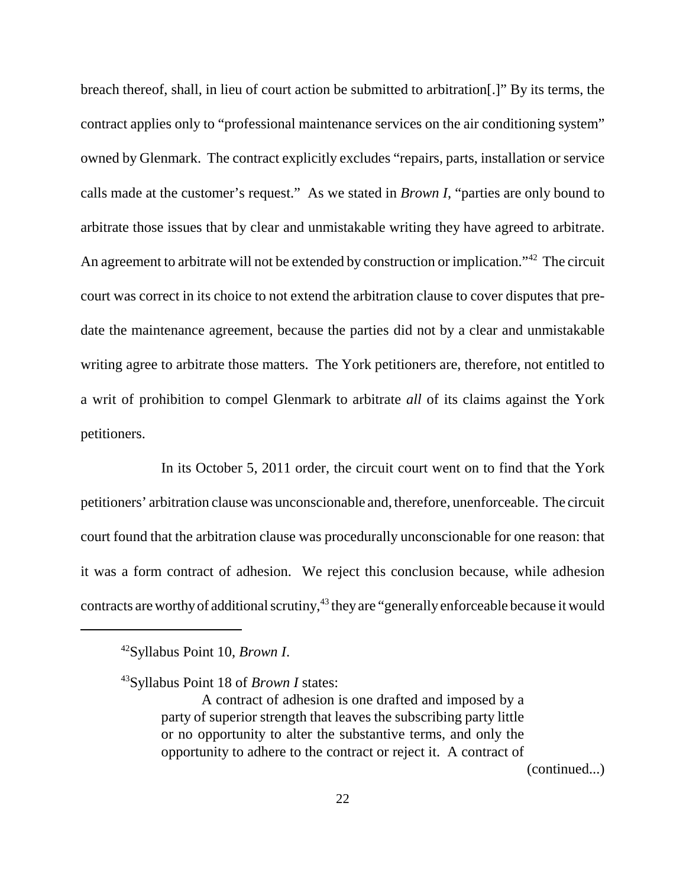breach thereof, shall, in lieu of court action be submitted to arbitration[.]" By its terms, the contract applies only to "professional maintenance services on the air conditioning system" owned by Glenmark. The contract explicitly excludes "repairs, parts, installation or service calls made at the customer's request." As we stated in *Brown I*, "parties are only bound to arbitrate those issues that by clear and unmistakable writing they have agreed to arbitrate. An agreement to arbitrate will not be extended by construction or implication."<sup>42</sup> The circuit court was correct in its choice to not extend the arbitration clause to cover disputes that pre- date the maintenance agreement, because the parties did not by a clear and unmistakable writing agree to arbitrate those matters. The York petitioners are, therefore, not entitled to a writ of prohibition to compel Glenmark to arbitrate *all* of its claims against the York petitioners.

 In its October 5, 2011 order, the circuit court went on to find that the York petitioners' arbitration clause was unconscionable and, therefore, unenforceable. The circuit court found that the arbitration clause was procedurally unconscionable for one reason: that it was a form contract of adhesion. We reject this conclusion because, while adhesion contracts are worthy of additional scrutiny,<sup>43</sup> they are "generally enforceable because it would

(continued...)

 42Syllabus Point 10, *Brown I*.

 43Syllabus Point 18 of *Brown I* states:

 A contract of adhesion is one drafted and imposed by a party of superior strength that leaves the subscribing party little or no opportunity to alter the substantive terms, and only the opportunity to adhere to the contract or reject it. A contract of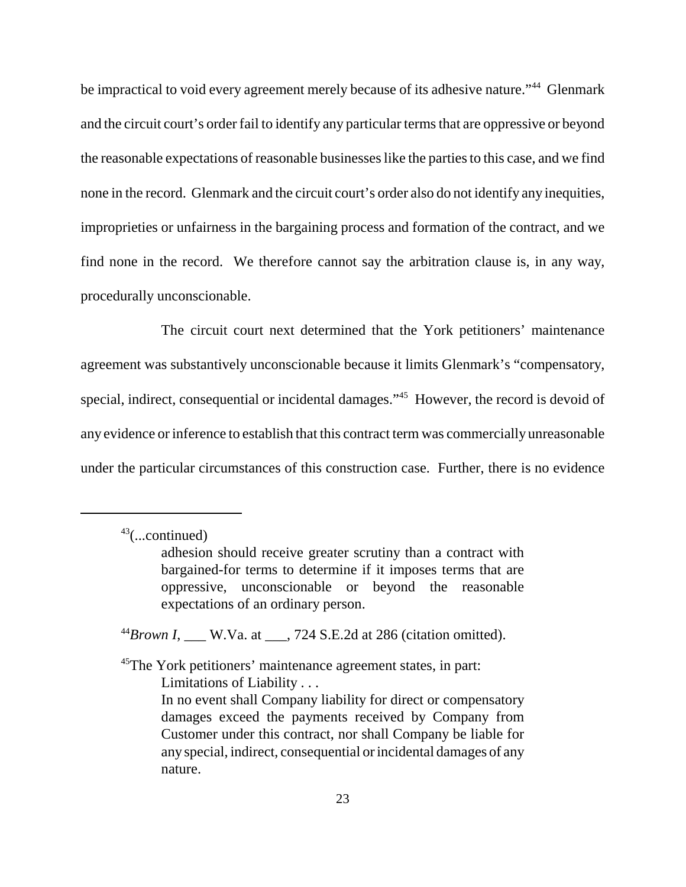be impractical to void every agreement merely because of its adhesive nature."<sup>44</sup> Glenmark and the circuit court's order fail to identify any particular terms that are oppressive or beyond the reasonable expectations of reasonable businesses like the parties to this case, and we find none in the record. Glenmark and the circuit court's order also do not identify any inequities, improprieties or unfairness in the bargaining process and formation of the contract, and we find none in the record. We therefore cannot say the arbitration clause is, in any way, procedurally unconscionable.

 The circuit court next determined that the York petitioners' maintenance agreement was substantively unconscionable because it limits Glenmark's "compensatory, special, indirect, consequential or incidental damages."<sup>45</sup> However, the record is devoid of any evidence or inference to establish that this contract term was commercially unreasonable under the particular circumstances of this construction case. Further, there is no evidence

 $^{44}$ *Brown I*, \_\_\_ W.Va. at \_\_\_, 724 S.E.2d at 286 (citation omitted).

<sup>45</sup>The York petitioners' maintenance agreement states, in part: Limitations of Liability . . . In no event shall Company liability for direct or compensatory damages exceed the payments received by Company from Customer under this contract, nor shall Company be liable for any special, indirect, consequential or incidental damages of any nature.

 $43$ (...continued)

 adhesion should receive greater scrutiny than a contract with bargained-for terms to determine if it imposes terms that are oppressive, unconscionable or beyond the reasonable expectations of an ordinary person.